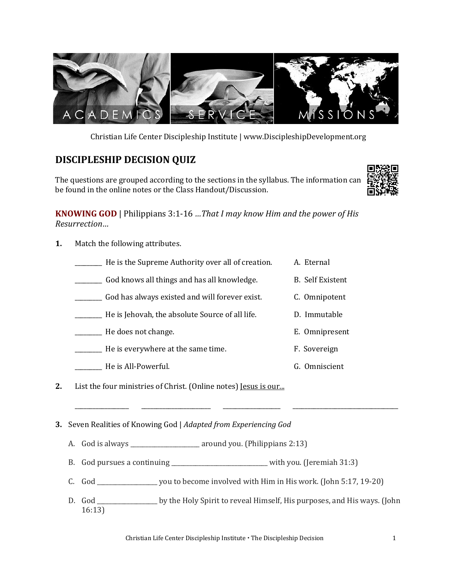

Christian Life Center Discipleship Institute | www.DiscipleshipDevelopment.org

## **DISCIPLESHIP DECISION QUIZ**

The questions are grouped according to the sections in the syllabus. The information can be found in the online notes or the Class Handout/Discussion.



**KNOWING GOD** | Philippians 3:1-16 *…That I may know Him and the power of His Resurrection…*

**1.** Match the following attributes.

| He is the Supreme Authority over all of creation. | A. Eternal              |
|---------------------------------------------------|-------------------------|
| God knows all things and has all knowledge.       | <b>B.</b> Self Existent |
| God has always existed and will forever exist.    | C. Omnipotent           |
| He is Jehovah, the absolute Source of all life.   | D. Immutable            |
| He does not change.                               | E. Omnipresent          |
| He is everywhere at the same time.                | F. Sovereign            |
| He is All-Powerful.                               | G. Omniscient           |

**2.** List the four ministries of Christ. (Online notes) <u>Jesus is our...</u>

**3.** Seven Realities of Knowing God | *Adapted from Experiencing God* 

- A. God is always around you. (Philippians 2:13)
- B. God pursues a continuing \_\_\_\_\_\_\_\_\_\_\_\_\_\_\_\_\_\_\_\_\_\_\_\_\_\_\_\_\_with you. (Jeremiah 31:3)
- C. God \_\_\_\_\_\_\_\_\_\_\_\_\_\_\_\_\_\_\_\_ you to become involved with Him in His work. (John 5:17, 19-20)
- D. God \_\_\_\_\_\_\_\_\_\_\_\_\_\_\_\_\_\_\_\_\_\_ by the Holy Spirit to reveal Himself, His purposes, and His ways. (John 16:13)

\_\_\_\_\_\_\_\_\_\_\_\_\_\_\_\_\_\_ \_\_\_\_\_\_\_\_\_\_\_\_\_\_\_\_\_\_\_\_\_\_\_ \_\_\_\_\_\_\_\_\_\_\_\_\_\_\_\_\_\_\_ \_\_\_\_\_\_\_\_\_\_\_\_\_\_\_\_\_\_\_\_\_\_\_\_\_\_\_\_\_\_\_\_\_\_\_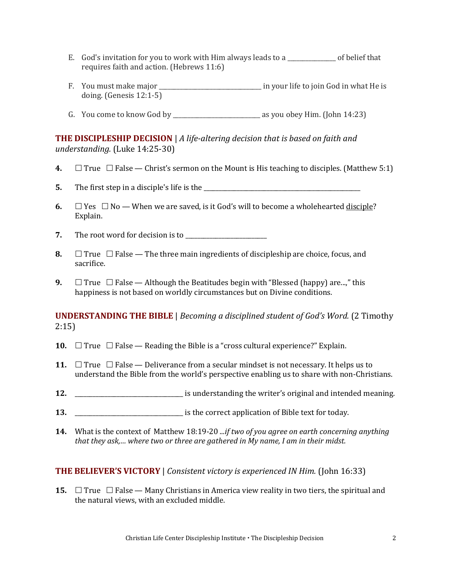- E. God's invitation for you to work with Him always leads to a \_\_\_\_\_\_\_\_\_\_\_\_\_\_\_\_ of belief that requires faith and action. (Hebrews 11:6)
- F. You must make major \_\_\_\_\_\_\_\_\_\_\_\_\_\_\_\_\_\_\_\_\_\_\_\_\_\_\_\_\_\_\_\_\_ in your life to join God in what He is doing. (Genesis 12:1-5)
- G. You come to know God by  $\frac{1}{2}$  as you obey Him. (John 14:23)

## **THE DISCIPLESHIP DECISION** | *A life-altering decision that is based on faith and understanding.* (Luke 14:25-30)

- **4.**  $\Box$  True  $\Box$  False Christ's sermon on the Mount is His teaching to disciples. (Matthew 5:1)
- **5.** The first step in a disciple's life is the \_\_\_\_\_\_\_\_\_\_\_\_\_\_\_\_\_\_\_\_\_\_\_\_\_\_\_\_\_\_\_\_\_\_\_\_\_\_\_\_\_\_\_\_\_\_\_\_\_\_\_\_
- **6.**  $\Box$  Yes  $\Box$  No When we are saved, is it God's will to become a wholehearted <u>disciple</u>? Explain.
- **7.** The root word for decision is to \_\_\_\_\_\_\_\_\_\_\_\_\_\_\_\_\_\_\_\_\_\_\_\_\_\_\_
- **8.**  $\Box$  True  $\Box$  False The three main ingredients of discipleship are choice, focus, and sacrifice.
- **9.**  $\Box$  True  $\Box$  False Although the Beatitudes begin with "Blessed (happy) are...," this happiness is not based on worldly circumstances but on Divine conditions.

**UNDERSTANDING THE BIBLE** | *Becoming a disciplined student of God's Word.* (2 Timothy 2:15)

- **10.**  $\Box$  True  $\Box$  False Reading the Bible is a "cross cultural experience?" Explain.
- **11.**  $\Box$  True  $\Box$  False Deliverance from a secular mindset is not necessary. It helps us to understand the Bible from the world's perspective enabling us to share with non-Christians.
- **12.** \_\_\_\_\_\_\_\_\_\_\_\_\_\_\_\_\_\_\_\_\_\_\_\_\_\_\_\_\_\_\_\_\_\_\_\_ is understanding the writer's original and intended meaning.
- **13. 13. 13. 13. 13. 13. 13. 13. 14. 14. 14. 14. 14. 14. 14. 14. 14. 14. 14. 14. 14. 14. 14. 14. 14. 14. 14. 14. 14. 14. 14. 14. 14. 14. 14. 14. 14.**
- **14.** What is the context of Matthew 18:19-20 *...if two of you agree on earth concerning anything that they ask,… where two or three are gathered in My name, I am in their midst.*

## **THE BELIEVER'S VICTORY** | *Consistent victory is experienced IN Him.* (John 16:33)

**15.**  $\Box$  True  $\Box$  False — Many Christians in America view reality in two tiers, the spiritual and the natural views, with an excluded middle.